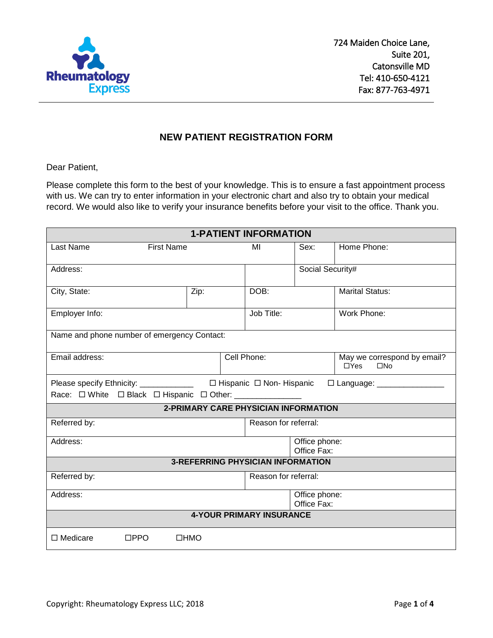

### **NEW PATIENT REGISTRATION FORM**

Dear Patient,

Please complete this form to the best of your knowledge. This is to ensure a fast appointment process with us. We can try to enter information in your electronic chart and also try to obtain your medical record. We would also like to verify your insurance benefits before your visit to the office. Thank you.

| <b>1-PATIENT INFORMATION</b>                                                  |                                             |                                     |                  |                                                           |  |  |
|-------------------------------------------------------------------------------|---------------------------------------------|-------------------------------------|------------------|-----------------------------------------------------------|--|--|
| Last Name<br><b>First Name</b>                                                |                                             | MI                                  | Sex:             | Home Phone:                                               |  |  |
| Address:                                                                      |                                             |                                     | Social Security# |                                                           |  |  |
| City, State:                                                                  | Zip:                                        | DOB:                                |                  | <b>Marital Status:</b>                                    |  |  |
| Employer Info:                                                                |                                             | Job Title:                          | Work Phone:      |                                                           |  |  |
| Name and phone number of emergency Contact:                                   |                                             |                                     |                  |                                                           |  |  |
| Email address:                                                                |                                             | Cell Phone:                         |                  | May we correspond by email?<br>$\Box$ Yes<br>$\square$ No |  |  |
| Please specify Ethnicity: _____________                                       |                                             | $\Box$ Hispanic $\Box$ Non-Hispanic |                  | □ Language: ________________                              |  |  |
| Race: $\Box$ White $\Box$ Black $\Box$ Hispanic $\Box$ Other: _______________ |                                             |                                     |                  |                                                           |  |  |
|                                                                               | <b>2-PRIMARY CARE PHYSICIAN INFORMATION</b> |                                     |                  |                                                           |  |  |
| Referred by:                                                                  |                                             | Reason for referral:                |                  |                                                           |  |  |
| Address:                                                                      |                                             | Office phone:<br>Office Fax:        |                  |                                                           |  |  |
|                                                                               | <b>3-REFERRING PHYSICIAN INFORMATION</b>    |                                     |                  |                                                           |  |  |
| Referred by:                                                                  |                                             | Reason for referral:                |                  |                                                           |  |  |
| Address:                                                                      |                                             | Office phone:<br>Office Fax:        |                  |                                                           |  |  |
| <b>4-YOUR PRIMARY INSURANCE</b>                                               |                                             |                                     |                  |                                                           |  |  |
| $\Box$ Medicare<br>$\square$ PPO                                              | $\Box$ HMO                                  |                                     |                  |                                                           |  |  |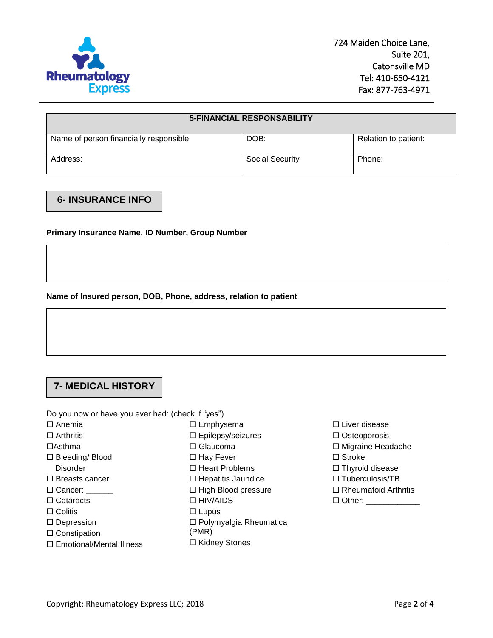

| <b>5-FINANCIAL RESPONSABILITY</b>       |                        |                      |  |  |
|-----------------------------------------|------------------------|----------------------|--|--|
| Name of person financially responsible: | DOB:                   | Relation to patient: |  |  |
| Address:                                | <b>Social Security</b> | Phone:               |  |  |

### **6- INSURANCE INFO**

**Primary Insurance Name, ID Number, Group Number**

#### **Name of Insured person, DOB, Phone, address, relation to patient**

# **7- MEDICAL HISTORY**

Do you now or have you ever had: (check if "yes")

- $\Box$  Anemia
- $\square$  Arthritis
- $\Box$ Asthma
- □ Bleeding/ Blood
	- **Disorder**
- $\Box$  Breasts cancer
- □ Cancer:
- □ Cataracts
- $\Box$  Colitis
- □ Depression
- $\square$  Constipation
- □ Emotional/Mental Illness
- □ Emphysema Epilepsy/seizures
- □ Glaucoma
- □ Hay Fever
- □ Heart Problems
- $\Box$  Hepatitis Jaundice
- $\Box$  High Blood pressure
- □ HIV/AIDS
- 
- $\Box$  Lupus
- □ Polymyalgia Rheumatica
- (PMR)
- □ Kidney Stones
- □ Liver disease
- □ Osteoporosis
- Migraine Headache
- □ Stroke
- $\Box$  Thyroid disease
- $\Box$  Tuberculosis/TB
- $\Box$  Rheumatoid Arthritis
- □ Other: \_\_\_\_\_\_\_\_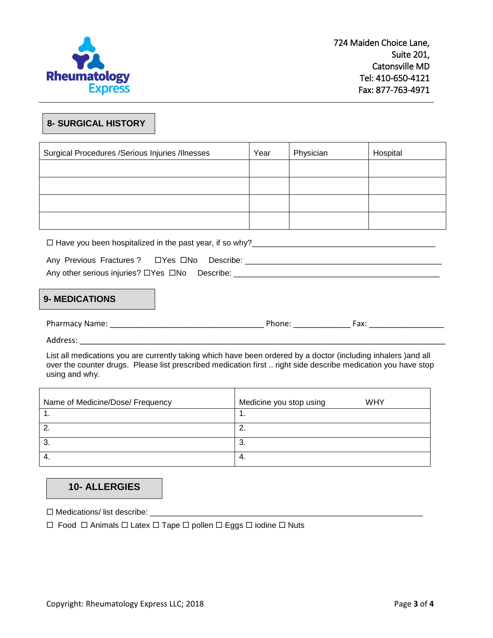

### **8- SURGICAL HISTORY**

| Surgical Procedures /Serious Injuries /Ilnesses | Year | Physician | Hospital |
|-------------------------------------------------|------|-----------|----------|
|                                                 |      |           |          |
|                                                 |      |           |          |
|                                                 |      |           |          |
|                                                 |      |           |          |

Have you been hospitalized in the past year, if so why?\_\_\_\_\_\_\_\_\_\_\_\_\_\_\_\_\_\_\_\_\_\_\_\_\_\_\_\_\_\_\_\_\_\_\_\_\_\_\_\_\_

| Any Previous Fractures? □ Yes □ No Describe:   |  |  |
|------------------------------------------------|--|--|
| Any other serious injuries? □Yes □No Describe: |  |  |

#### **9- MEDICATIONS**

| Pha<br>nm⊢.<br>Nar<br>$\mathbf{v}$<br>1171<br>_____ | ___ | ער<br><u>пл</u><br>$\sim$ $\sim$ $\sim$ $\sim$ $\sim$ $\sim$ $\sim$ |  |
|-----------------------------------------------------|-----|---------------------------------------------------------------------|--|
|                                                     |     |                                                                     |  |

Address: \_\_\_\_\_\_\_\_\_\_\_\_\_\_\_\_\_\_\_\_\_\_\_\_\_\_\_\_\_\_\_\_\_\_\_\_\_\_\_\_\_\_\_\_\_\_\_\_\_\_\_\_\_\_\_\_\_\_\_\_\_\_\_\_\_\_\_\_\_\_\_\_\_\_\_\_\_\_\_\_\_\_\_

List all medications you are currently taking which have been ordered by a doctor (including inhalers )and all over the counter drugs. Please list prescribed medication first .. right side describe medication you have stop using and why.

| Name of Medicine/Dose/ Frequency | <b>WHY</b><br>Medicine you stop using |
|----------------------------------|---------------------------------------|
|                                  | . .                                   |
|                                  | <u>.</u>                              |
| ာ.                               | ≏<br>. ა.                             |
| →.                               | -4.                                   |

## **10- ALLERGIES**

Medications/ list describe: \_\_\_\_\_\_\_\_\_\_\_\_\_\_\_\_\_\_\_\_\_\_\_\_\_\_\_\_\_\_\_\_\_\_\_\_\_\_\_\_\_\_\_\_\_\_\_\_\_\_\_\_\_\_\_\_\_\_\_\_\_

 $\Box$  Food  $\Box$  Animals  $\Box$  Latex  $\Box$  Tape  $\Box$  pollen  $\Box$  Eggs  $\Box$  iodine  $\Box$  Nuts